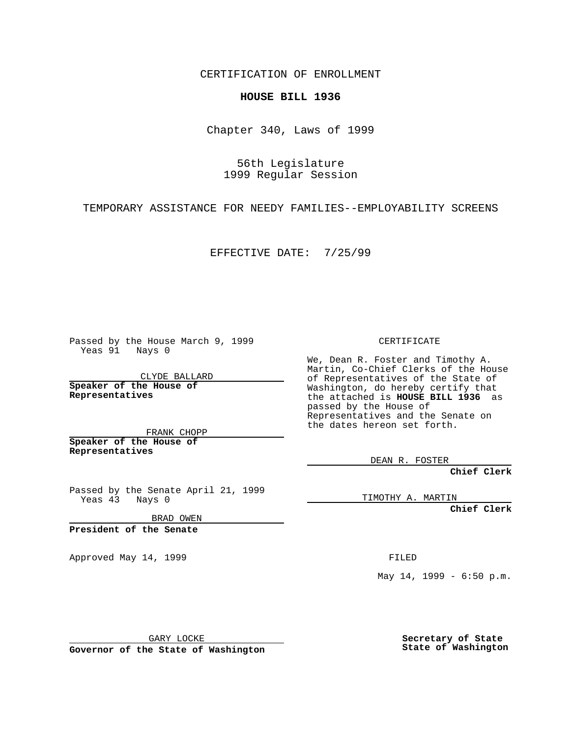CERTIFICATION OF ENROLLMENT

## **HOUSE BILL 1936**

Chapter 340, Laws of 1999

56th Legislature 1999 Regular Session

TEMPORARY ASSISTANCE FOR NEEDY FAMILIES--EMPLOYABILITY SCREENS

EFFECTIVE DATE: 7/25/99

Passed by the House March 9, 1999 Yeas 91 Nays 0

CLYDE BALLARD **Speaker of the House of Representatives**

FRANK CHOPP **Speaker of the House of Representatives**

Passed by the Senate April 21, 1999 Yeas 43 Nays 0

BRAD OWEN

**President of the Senate**

Approved May 14, 1999 **FILED** 

CERTIFICATE

We, Dean R. Foster and Timothy A. Martin, Co-Chief Clerks of the House of Representatives of the State of Washington, do hereby certify that the attached is **HOUSE BILL 1936** as passed by the House of Representatives and the Senate on the dates hereon set forth.

DEAN R. FOSTER

**Chief Clerk**

TIMOTHY A. MARTIN

**Chief Clerk**

May 14, 1999 - 6:50 p.m.

GARY LOCKE

**Governor of the State of Washington**

**Secretary of State State of Washington**